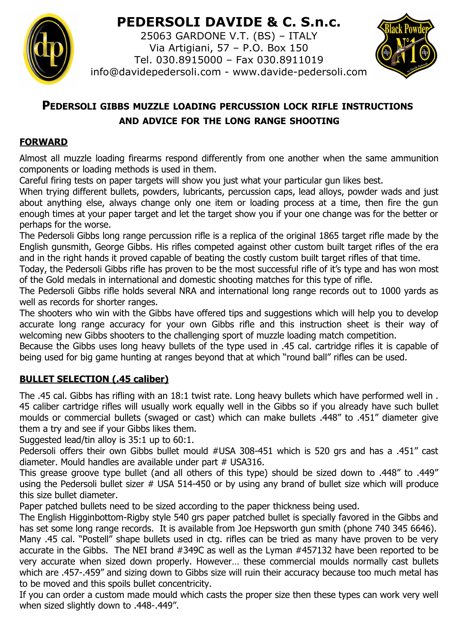# **PEDERSOLI DAVIDE & C. S.n.c.**



25063 GARDONE V.T. (BS) – ITALY Via Artigiani, 57 – P.O. Box 150 Tel. 030.8915000 – Fax 030.8911019 info@davidepedersoli.com - www.davide-pedersoli.com



# **PEDERSOLI GIBBS MUZZLE LOADING PERCUSSION LOCK RIFLE INSTRUCTIONS AND ADVICE FOR THE LONG RANGE SHOOTING**

## **FORWARD**

Almost all muzzle loading firearms respond differently from one another when the same ammunition components or loading methods is used in them.

Careful firing tests on paper targets will show you just what your particular gun likes best.

When trying different bullets, powders, lubricants, percussion caps, lead alloys, powder wads and just about anything else, always change only one item or loading process at a time, then fire the gun enough times at your paper target and let the target show you if your one change was for the better or perhaps for the worse.

The Pedersoli Gibbs long range percussion rifle is a replica of the original 1865 target rifle made by the English gunsmith, George Gibbs. His rifles competed against other custom built target rifles of the era and in the right hands it proved capable of beating the costly custom built target rifles of that time.

Today, the Pedersoli Gibbs rifle has proven to be the most successful rifle of it's type and has won most of the Gold medals in international and domestic shooting matches for this type of rifle.

The Pedersoli Gibbs rifle holds several NRA and international long range records out to 1000 yards as well as records for shorter ranges.

The shooters who win with the Gibbs have offered tips and suggestions which will help you to develop accurate long range accuracy for your own Gibbs rifle and this instruction sheet is their way of welcoming new Gibbs shooters to the challenging sport of muzzle loading match competition.

Because the Gibbs uses long heavy bullets of the type used in .45 cal. cartridge rifles it is capable of being used for big game hunting at ranges beyond that at which "round ball" rifles can be used.

# **BULLET SELECTION (.45 caliber)**

The .45 cal. Gibbs has rifling with an 18:1 twist rate. Long heavy bullets which have performed well in . 45 caliber cartridge rifles will usually work equally well in the Gibbs so if you already have such bullet moulds or commercial bullets (swaged or cast) which can make bullets .448" to .451" diameter give them a try and see if your Gibbs likes them.

Suggested lead/tin alloy is 35:1 up to 60:1.

Pedersoli offers their own Gibbs bullet mould #USA 308-451 which is 520 grs and has a .451" cast diameter. Mould handles are available under part # USA316.

This grease groove type bullet (and all others of this type) should be sized down to .448" to .449" using the Pedersoli bullet sizer  $#$  USA 514-450 or by using any brand of bullet size which will produce this size bullet diameter.

Paper patched bullets need to be sized according to the paper thickness being used.

The English Higginbottom-Rigby style 540 grs paper patched bullet is specially favored in the Gibbs and has set some long range records. It is available from Joe Hepsworth gun smith (phone 740 345 6646).

Many .45 cal. "Postell" shape bullets used in ctg. rifles can be tried as many have proven to be very accurate in the Gibbs. The NEI brand #349C as well as the Lyman #457132 have been reported to be very accurate when sized down properly. However… these commercial moulds normally cast bullets which are .457-.459" and sizing down to Gibbs size will ruin their accuracy because too much metal has to be moved and this spoils bullet concentricity.

If you can order a custom made mould which casts the proper size then these types can work very well when sized slightly down to .448-.449".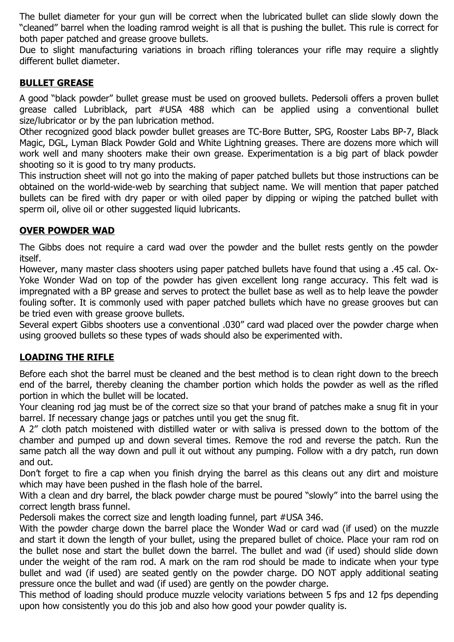The bullet diameter for your gun will be correct when the lubricated bullet can slide slowly down the "cleaned" barrel when the loading ramrod weight is all that is pushing the bullet. This rule is correct for both paper patched and grease groove bullets.

Due to slight manufacturing variations in broach rifling tolerances your rifle may require a slightly different bullet diameter.

#### **BULLET GREASE**

A good "black powder" bullet grease must be used on grooved bullets. Pedersoli offers a proven bullet grease called Lubriblack, part #USA 488 which can be applied using a conventional bullet size/lubricator or by the pan lubrication method.

Other recognized good black powder bullet greases are TC-Bore Butter, SPG, Rooster Labs BP-7, Black Magic, DGL, Lyman Black Powder Gold and White Lightning greases. There are dozens more which will work well and many shooters make their own grease. Experimentation is a big part of black powder shooting so it is good to try many products.

This instruction sheet will not go into the making of paper patched bullets but those instructions can be obtained on the world-wide-web by searching that subject name. We will mention that paper patched bullets can be fired with dry paper or with oiled paper by dipping or wiping the patched bullet with sperm oil, olive oil or other suggested liquid lubricants.

#### **OVER POWDER WAD**

The Gibbs does not require a card wad over the powder and the bullet rests gently on the powder itself.

However, many master class shooters using paper patched bullets have found that using a .45 cal. Ox-Yoke Wonder Wad on top of the powder has given excellent long range accuracy. This felt wad is impregnated with a BP grease and serves to protect the bullet base as well as to help leave the powder fouling softer. It is commonly used with paper patched bullets which have no grease grooves but can be tried even with grease groove bullets.

Several expert Gibbs shooters use a conventional .030" card wad placed over the powder charge when using grooved bullets so these types of wads should also be experimented with.

### **LOADING THE RIFLE**

Before each shot the barrel must be cleaned and the best method is to clean right down to the breech end of the barrel, thereby cleaning the chamber portion which holds the powder as well as the rifled portion in which the bullet will be located.

Your cleaning rod jag must be of the correct size so that your brand of patches make a snug fit in your barrel. If necessary change jags or patches until you get the snug fit.

A 2" cloth patch moistened with distilled water or with saliva is pressed down to the bottom of the chamber and pumped up and down several times. Remove the rod and reverse the patch. Run the same patch all the way down and pull it out without any pumping. Follow with a dry patch, run down and out.

Don't forget to fire a cap when you finish drying the barrel as this cleans out any dirt and moisture which may have been pushed in the flash hole of the barrel.

With a clean and dry barrel, the black powder charge must be poured "slowly" into the barrel using the correct length brass funnel.

Pedersoli makes the correct size and length loading funnel, part #USA 346.

With the powder charge down the barrel place the Wonder Wad or card wad (if used) on the muzzle and start it down the length of your bullet, using the prepared bullet of choice. Place your ram rod on the bullet nose and start the bullet down the barrel. The bullet and wad (if used) should slide down under the weight of the ram rod. A mark on the ram rod should be made to indicate when your type bullet and wad (if used) are seated gently on the powder charge. DO NOT apply additional seating pressure once the bullet and wad (if used) are gently on the powder charge.

This method of loading should produce muzzle velocity variations between 5 fps and 12 fps depending upon how consistently you do this job and also how good your powder quality is.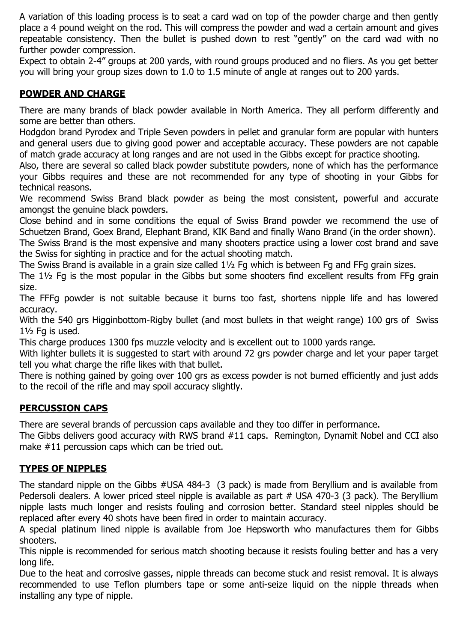A variation of this loading process is to seat a card wad on top of the powder charge and then gently place a 4 pound weight on the rod. This will compress the powder and wad a certain amount and gives repeatable consistency. Then the bullet is pushed down to rest "gently" on the card wad with no further powder compression.

Expect to obtain 2-4" groups at 200 yards, with round groups produced and no fliers. As you get better you will bring your group sizes down to 1.0 to 1.5 minute of angle at ranges out to 200 yards.

## **POWDER AND CHARGE**

There are many brands of black powder available in North America. They all perform differently and some are better than others.

Hodgdon brand Pyrodex and Triple Seven powders in pellet and granular form are popular with hunters and general users due to giving good power and acceptable accuracy. These powders are not capable of match grade accuracy at long ranges and are not used in the Gibbs except for practice shooting.

Also, there are several so called black powder substitute powders, none of which has the performance your Gibbs requires and these are not recommended for any type of shooting in your Gibbs for technical reasons.

We recommend Swiss Brand black powder as being the most consistent, powerful and accurate amongst the genuine black powders.

Close behind and in some conditions the equal of Swiss Brand powder we recommend the use of Schuetzen Brand, Goex Brand, Elephant Brand, KIK Band and finally Wano Brand (in the order shown).

The Swiss Brand is the most expensive and many shooters practice using a lower cost brand and save the Swiss for sighting in practice and for the actual shooting match.

The Swiss Brand is available in a grain size called 1½ Fg which is between Fg and FFg grain sizes.

The 1½ Fg is the most popular in the Gibbs but some shooters find excellent results from FFg grain size.

The FFFg powder is not suitable because it burns too fast, shortens nipple life and has lowered accuracy.

With the 540 grs Higginbottom-Rigby bullet (and most bullets in that weight range) 100 grs of Swiss 1½ Fg is used.

This charge produces 1300 fps muzzle velocity and is excellent out to 1000 yards range.

With lighter bullets it is suggested to start with around 72 grs powder charge and let your paper target tell you what charge the rifle likes with that bullet.

There is nothing gained by going over 100 grs as excess powder is not burned efficiently and just adds to the recoil of the rifle and may spoil accuracy slightly.

### **PERCUSSION CAPS**

There are several brands of percussion caps available and they too differ in performance.

The Gibbs delivers good accuracy with RWS brand #11 caps. Remington, Dynamit Nobel and CCI also make #11 percussion caps which can be tried out.

### **TYPES OF NIPPLES**

The standard nipple on the Gibbs #USA 484-3 (3 pack) is made from Beryllium and is available from Pedersoli dealers. A lower priced steel nipple is available as part # USA 470-3 (3 pack). The Beryllium nipple lasts much longer and resists fouling and corrosion better. Standard steel nipples should be replaced after every 40 shots have been fired in order to maintain accuracy.

A special platinum lined nipple is available from Joe Hepsworth who manufactures them for Gibbs shooters.

This nipple is recommended for serious match shooting because it resists fouling better and has a very long life.

Due to the heat and corrosive gasses, nipple threads can become stuck and resist removal. It is always recommended to use Teflon plumbers tape or some anti-seize liquid on the nipple threads when installing any type of nipple.